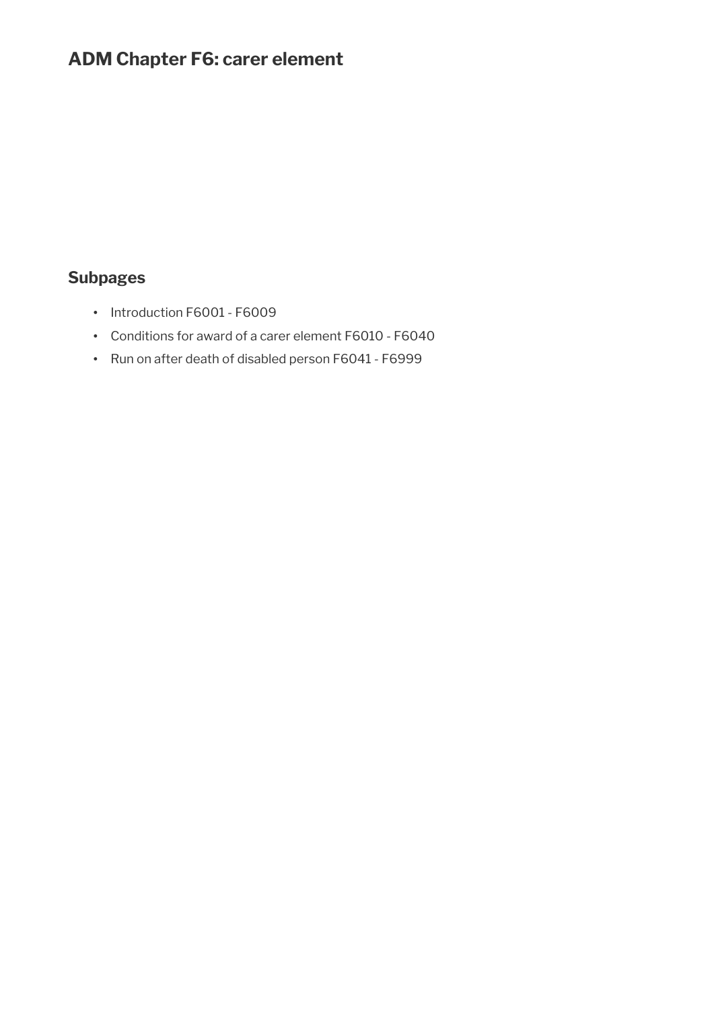# **ADM Chapter F6: carer element**

# **Subpages**

- Introduction F6001 F6009
- Conditions for award of a carer element F6010 F6040
- Run on after death of disabled person F6041 F6999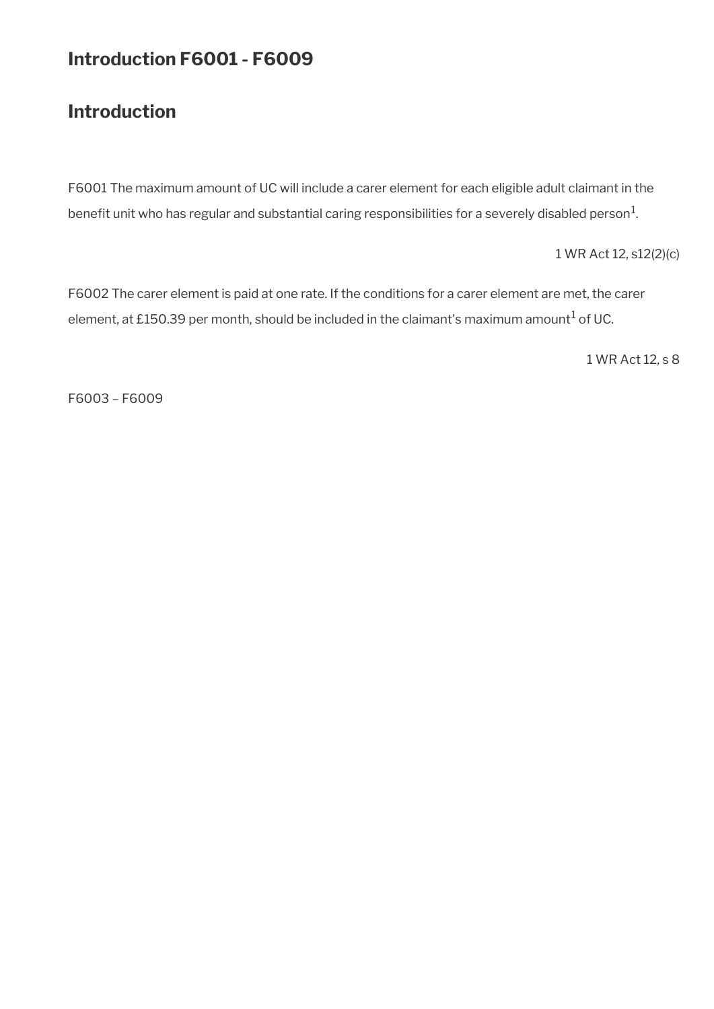# **Introduction F6001 - F6009**

# **Introduction**

F6001 The maximum amount of UC will include a carer element for each eligible adult claimant in the benefit unit who has regular and substantial caring responsibilities for a severely disabled person $^{\rm 1}$ .

1 WR Act 12, s12(2)(c)

F6002 The carer element is paid at one rate. If the conditions for a carer element are met, the carer element, at £150.39 per month, should be included in the claimant's maximum amount $^1$  of UC.

1 WR Act 12, s 8

F6003 – F6009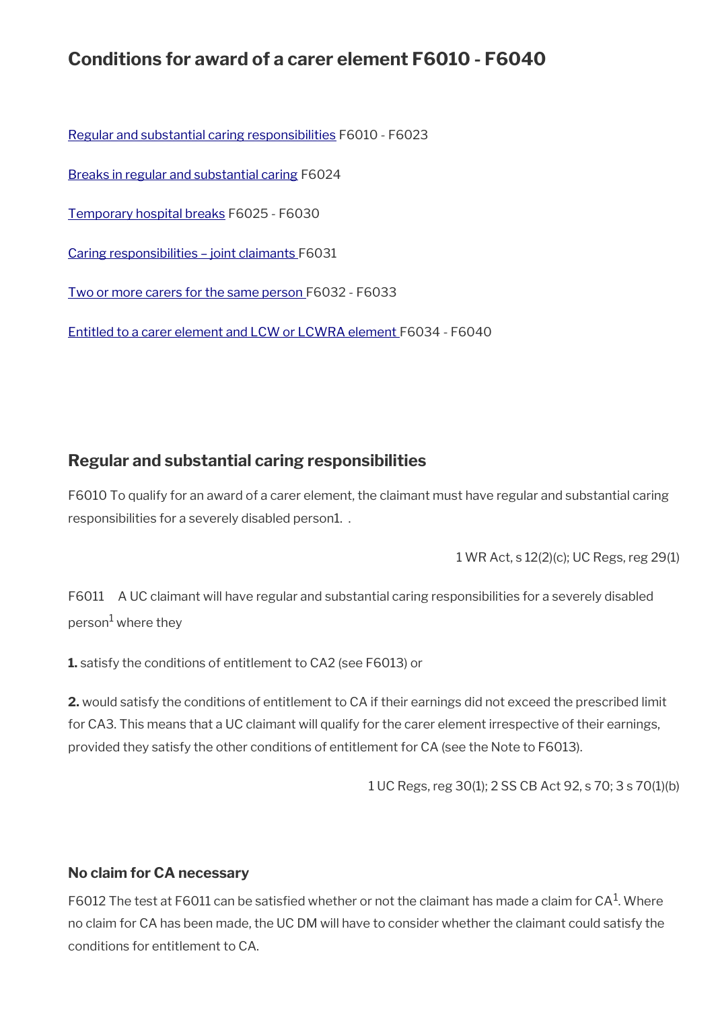# **Conditions for award of a carer element F6010 - F6040**

[Regular and substantial caring responsibilities](#page-2-0) F6010 - F6023

[Breaks in regular and substantial caring](#page-4-2) F6024

[Temporary hospital breaks](#page-4-1) F6025 - F6030

[Caring responsibilities – joint claimants F](#page-4-0)6031

[Two or more carers for the same person](#page-5-0) F6032 - F6033

[Entitled to a carer element and LCW or LCWRA element](#page-6-0) F6034 - F6040

## <span id="page-2-0"></span>**Regular and substantial caring responsibilities**

F6010 To qualify for an award of a carer element, the claimant must have regular and substantial caring responsibilities for a severely disabled person1. .

1 WR Act, s 12(2)(c); UC Regs, reg 29(1)

F6011 A UC claimant will have regular and substantial caring responsibilities for a severely disabled person<sup>1</sup> where they

**1.** satisfy the conditions of entitlement to CA2 (see F6013) or

**2.** would satisfy the conditions of entitlement to CA if their earnings did not exceed the prescribed limit for CA3. This means that a UC claimant will qualify for the carer element irrespective of their earnings, provided they satisfy the other conditions of entitlement for CA (see the Note to F6013).

1 UC Regs, reg 30(1); 2 SS CB Act 92, s 70; 3 s 70(1)(b)

### **No claim for CA necessary**

F6012 The test at F6011 can be satisfied whether or not the claimant has made a claim for CA $^{\rm 1}$ . Where no claim for CA has been made, the UC DM will have to consider whether the claimant could satisfy the conditions for entitlement to CA.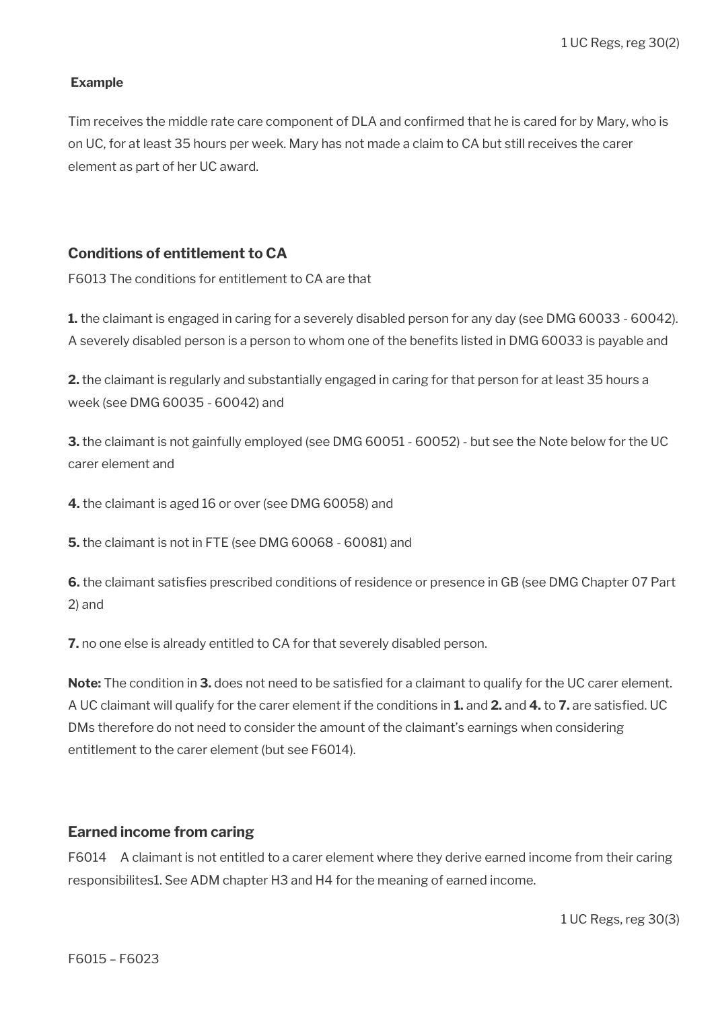#### **Example**

Tim receives the middle rate care component of DLA and confirmed that he is cared for by Mary, who is on UC, for at least 35 hours per week. Mary has not made a claim to CA but still receives the carer element as part of her UC award.

#### **Conditions of entitlement to CA**

F6013 The conditions for entitlement to CA are that

**1.** the claimant is engaged in caring for a severely disabled person for any day (see DMG 60033 - 60042). A severely disabled person is a person to whom one of the benefts listed in DMG 60033 is payable and

**2.** the claimant is regularly and substantially engaged in caring for that person for at least 35 hours a week (see DMG 60035 - 60042) and

**3.** the claimant is not gainfully employed (see DMG 60051 - 60052) - but see the Note below for the UC carer element and

**4.** the claimant is aged 16 or over (see DMG 60058) and

**5.** the claimant is not in FTE (see DMG 60068 - 60081) and

**6.** the claimant satisfies prescribed conditions of residence or presence in GB (see DMG Chapter 07 Part 2) and

**7.** no one else is already entitled to CA for that severely disabled person.

**Note:** The condition in **3.** does not need to be satisfed for a claimant to qualify for the UC carer element. A UC claimant will qualify for the carer element if the conditions in **1.** and **2.** and **4.** to **7.** are satisfed. UC DMs therefore do not need to consider the amount of the claimant's earnings when considering entitlement to the carer element (but see F6014).

#### **Earned income from caring**

F6014 A claimant is not entitled to a carer element where they derive earned income from their caring responsibilites1. See ADM chapter H3 and H4 for the meaning of earned income.

1 UC Regs, reg 30(3)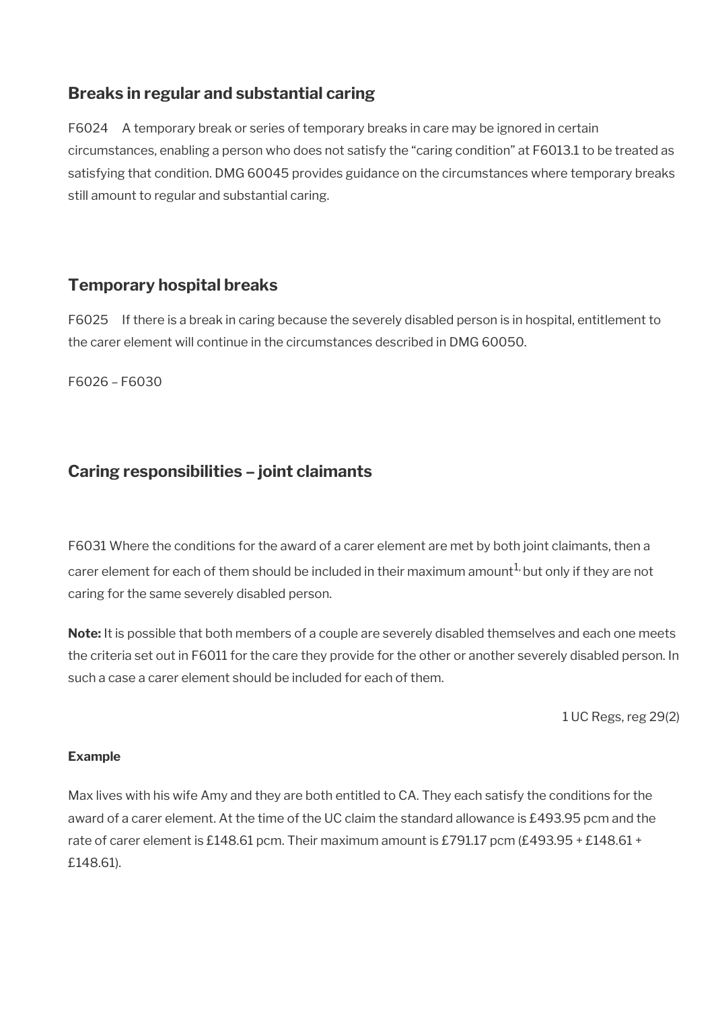## <span id="page-4-2"></span>**Breaks in regular and substantial caring**

F6024 A temporary break or series of temporary breaks in care may be ignored in certain circumstances, enabling a person who does not satisfy the "caring condition" at F6013.1 to be treated as satisfying that condition. DMG 60045 provides guidance on the circumstances where temporary breaks still amount to regular and substantial caring.

# <span id="page-4-1"></span>**Temporary hospital breaks**

F6025 If there is a break in caring because the severely disabled person is in hospital, entitlement to the carer element will continue in the circumstances described in DMG 60050.

F6026 – F6030

# <span id="page-4-0"></span>**Caring responsibilities – joint claimants**

F6031 Where the conditions for the award of a carer element are met by both joint claimants, then a carer element for each of them should be included in their maximum amount<sup>1,</sup> but only if they are not caring for the same severely disabled person.

**Note:** It is possible that both members of a couple are severely disabled themselves and each one meets the criteria set out in F6011 for the care they provide for the other or another severely disabled person. In such a case a carer element should be included for each of them.

1 UC Regs, reg 29(2)

## **Example**

Max lives with his wife Amy and they are both entitled to CA. They each satisfy the conditions for the award of a carer element. At the time of the UC claim the standard allowance is £493.95 pcm and the rate of carer element is £148.61 pcm. Their maximum amount is £791.17 pcm (£493.95 + £148.61 + £148.61).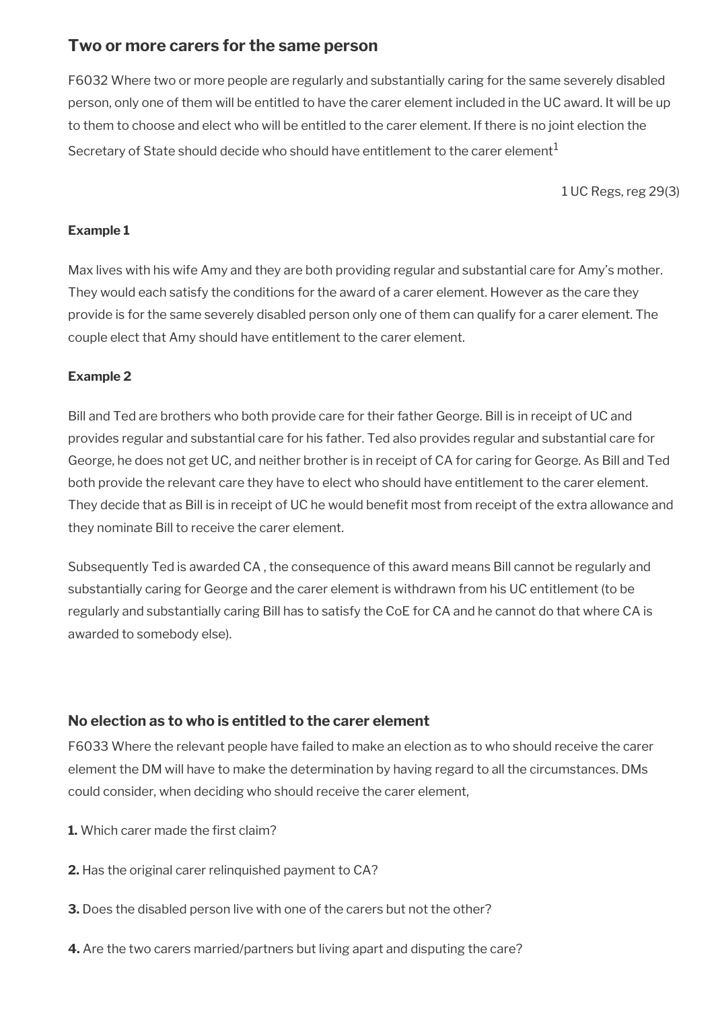## <span id="page-5-0"></span>**Two or more carers for the same person**

F6032 Where two or more people are regularly and substantially caring for the same severely disabled person, only one of them will be entitled to have the carer element included in the UC award. It will be up to them to choose and elect who will be entitled to the carer element. If there is no joint election the Secretary of State should decide who should have entitlement to the carer element<sup>1</sup>

1 UC Regs, reg 29(3)

#### **Example 1**

Max lives with his wife Amy and they are both providing regular and substantial care for Amy's mother. They would each satisfy the conditions for the award of a carer element. However as the care they provide is for the same severely disabled person only one of them can qualify for a carer element. The couple elect that Amy should have entitlement to the carer element.

### **Example 2**

Bill and Ted are brothers who both provide care for their father George. Bill is in receipt of UC and provides regular and substantial care for his father. Ted also provides regular and substantial care for George, he does not get UC, and neither brother is in receipt of CA for caring for George. As Bill and Ted both provide the relevant care they have to elect who should have entitlement to the carer element. They decide that as Bill is in receipt of UC he would benefit most from receipt of the extra allowance and they nominate Bill to receive the carer element.

Subsequently Ted is awarded CA , the consequence of this award means Bill cannot be regularly and substantially caring for George and the carer element is withdrawn from his UC entitlement (to be regularly and substantially caring Bill has to satisfy the CoE for CA and he cannot do that where CA is awarded to somebody else).

## **No election as to who is entitled to the carer element**

F6033 Where the relevant people have failed to make an election as to who should receive the carer element the DM will have to make the determination by having regard to all the circumstances. DMs could consider, when deciding who should receive the carer element,

- **1.** Which carer made the first claim?
- **2.** Has the original carer relinquished payment to CA?
- **3.** Does the disabled person live with one of the carers but not the other?
- **4.** Are the two carers married/partners but living apart and disputing the care?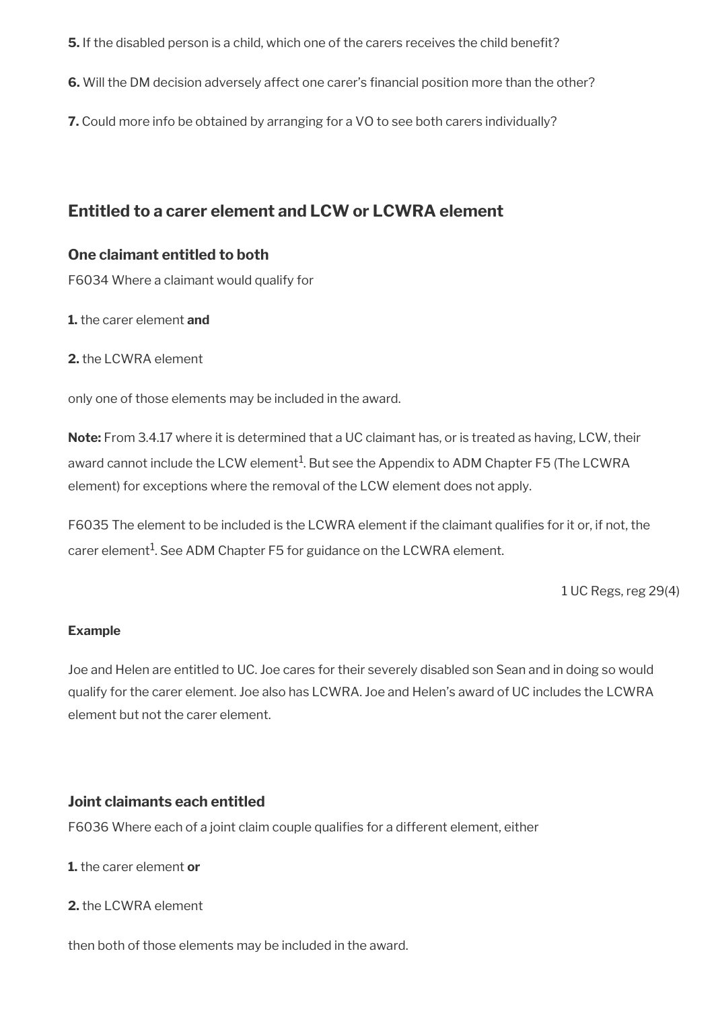- **5.** If the disabled person is a child, which one of the carers receives the child benefit?
- **6.** Will the DM decision adversely affect one carer's fnancial position more than the other?
- **7.** Could more info be obtained by arranging for a VO to see both carers individually?

## <span id="page-6-0"></span>**Entitled to a carer element and LCW or LCWRA element**

### **One claimant entitled to both**

F6034 Where a claimant would qualify for

**1.** the carer element **and**

**2.** the LCWRA element

only one of those elements may be included in the award.

**Note:** From 3.4.17 where it is determined that a UC claimant has, or is treated as having, LCW, their award cannot include the LCW element $^1$ . But see the Appendix to ADM Chapter F5 (The LCWRA element) for exceptions where the removal of the LCW element does not apply.

F6035 The element to be included is the LCWRA element if the claimant qualifies for it or, if not, the carer element $^{\rm 1}$ . See ADM Chapter F5 for guidance on the LCWRA element.

1 UC Regs, reg 29(4)

#### **Example**

Joe and Helen are entitled to UC. Joe cares for their severely disabled son Sean and in doing so would qualify for the carer element. Joe also has LCWRA. Joe and Helen's award of UC includes the LCWRA element but not the carer element.

### **Joint claimants each entitled**

F6036 Where each of a joint claim couple qualifies for a different element, either

- **1.** the carer element **or**
- **2.** the LCWRA element

then both of those elements may be included in the award.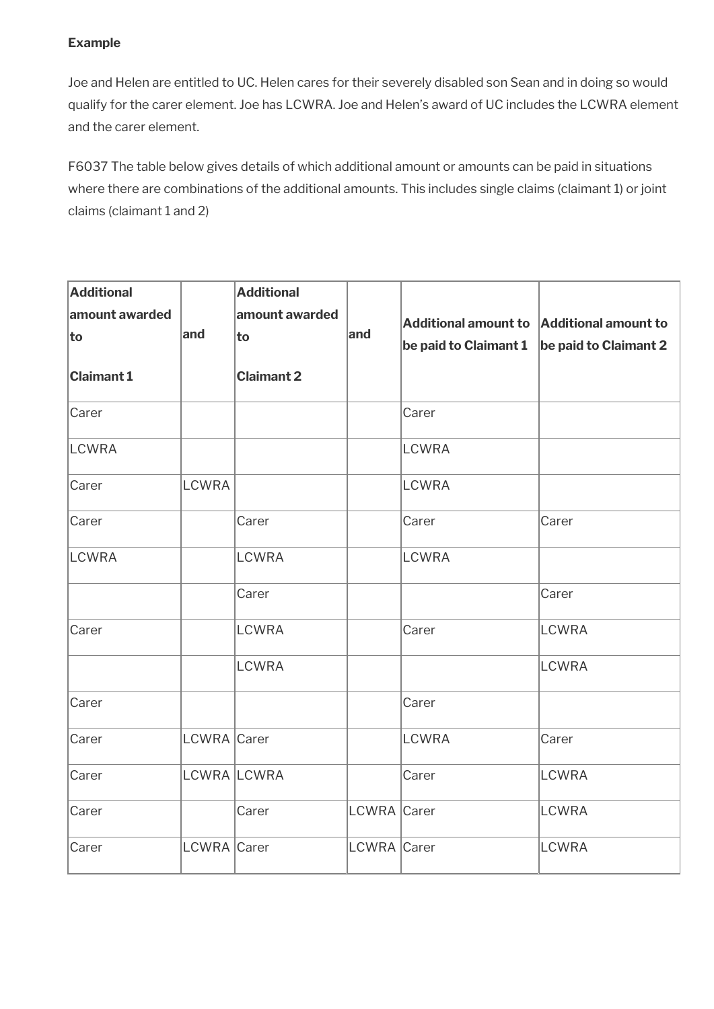### **Example**

Joe and Helen are entitled to UC. Helen cares for their severely disabled son Sean and in doing so would qualify for the carer element. Joe has LCWRA. Joe and Helen's award of UC includes the LCWRA element and the carer element.

F6037 The table below gives details of which additional amount or amounts can be paid in situations where there are combinations of the additional amounts. This includes single claims (claimant 1) or joint claims (claimant 1 and 2)

| <b>Additional</b><br>amount awarded |              | <b>Additional</b><br>amount awarded |             | Additional amount to Additional amount to     |              |
|-------------------------------------|--------------|-------------------------------------|-------------|-----------------------------------------------|--------------|
| to                                  | and          | to                                  | and         | be paid to Claimant $1$ be paid to Claimant 2 |              |
| <b>Claimant 1</b>                   |              | <b>Claimant 2</b>                   |             |                                               |              |
| Carer                               |              |                                     |             | Carer                                         |              |
| <b>LCWRA</b>                        |              |                                     |             | <b>LCWRA</b>                                  |              |
| Carer                               | <b>LCWRA</b> |                                     |             | <b>LCWRA</b>                                  |              |
| Carer                               |              | Carer                               |             | Carer                                         | Carer        |
| LCWRA                               |              | <b>LCWRA</b>                        |             | <b>LCWRA</b>                                  |              |
|                                     |              | Carer                               |             |                                               | Carer        |
| Carer                               |              | <b>LCWRA</b>                        |             | Carer                                         | <b>LCWRA</b> |
|                                     |              | <b>LCWRA</b>                        |             |                                               | <b>LCWRA</b> |
| Carer                               |              |                                     |             | Carer                                         |              |
| Carer                               | LCWRA Carer  |                                     |             | <b>LCWRA</b>                                  | Carer        |
| Carer                               |              | LCWRA LCWRA                         |             | Carer                                         | LCWRA        |
| Carer                               |              | Carer                               | LCWRA Carer |                                               | <b>LCWRA</b> |
| Carer                               | LCWRA Carer  |                                     | LCWRA Carer |                                               | <b>LCWRA</b> |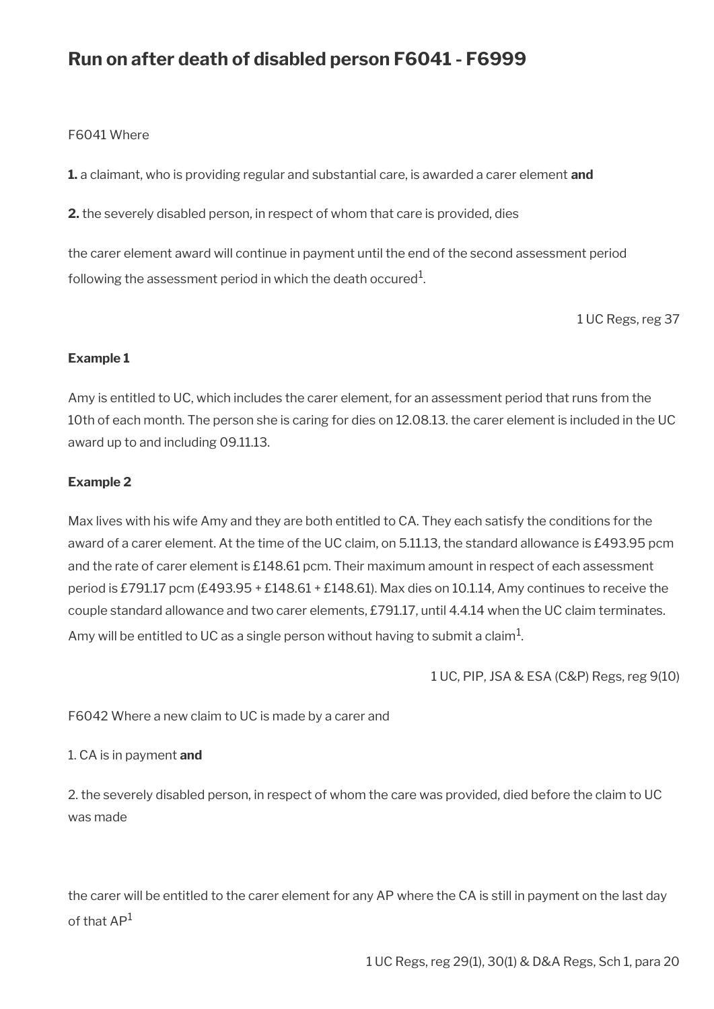# **Run on after death of disabled person F6041 - F6999**

#### F6041 Where

**1.** a claimant, who is providing regular and substantial care, is awarded a carer element **and**

**2.** the severely disabled person, in respect of whom that care is provided, dies

the carer element award will continue in payment until the end of the second assessment period following the assessment period in which the death occured $^{\rm 1}$ .

1 UC Regs, reg 37

#### **Example 1**

Amy is entitled to UC, which includes the carer element, for an assessment period that runs from the 10th of each month. The person she is caring for dies on 12.08.13. the carer element is included in the UC award up to and including 09.11.13.

#### **Example 2**

Max lives with his wife Amy and they are both entitled to CA. They each satisfy the conditions for the award of a carer element. At the time of the UC claim, on 5.11.13, the standard allowance is £493.95 pcm and the rate of carer element is £148.61 pcm. Their maximum amount in respect of each assessment period is £791.17 pcm (£493.95 + £148.61 + £148.61). Max dies on 10.1.14, Amy continues to receive the couple standard allowance and two carer elements, £791.17, until 4.4.14 when the UC claim terminates. Amy will be entitled to UC as a single person without having to submit a claim $^1\!$ 

1 UC, PIP, JSA & ESA (C&P) Regs, reg 9(10)

F6042 Where a new claim to UC is made by a carer and

#### 1. CA is in payment **and**

2. the severely disabled person, in respect of whom the care was provided, died before the claim to UC was made

the carer will be entitled to the carer element for any AP where the CA is still in payment on the last day of that AP<sup>1</sup>